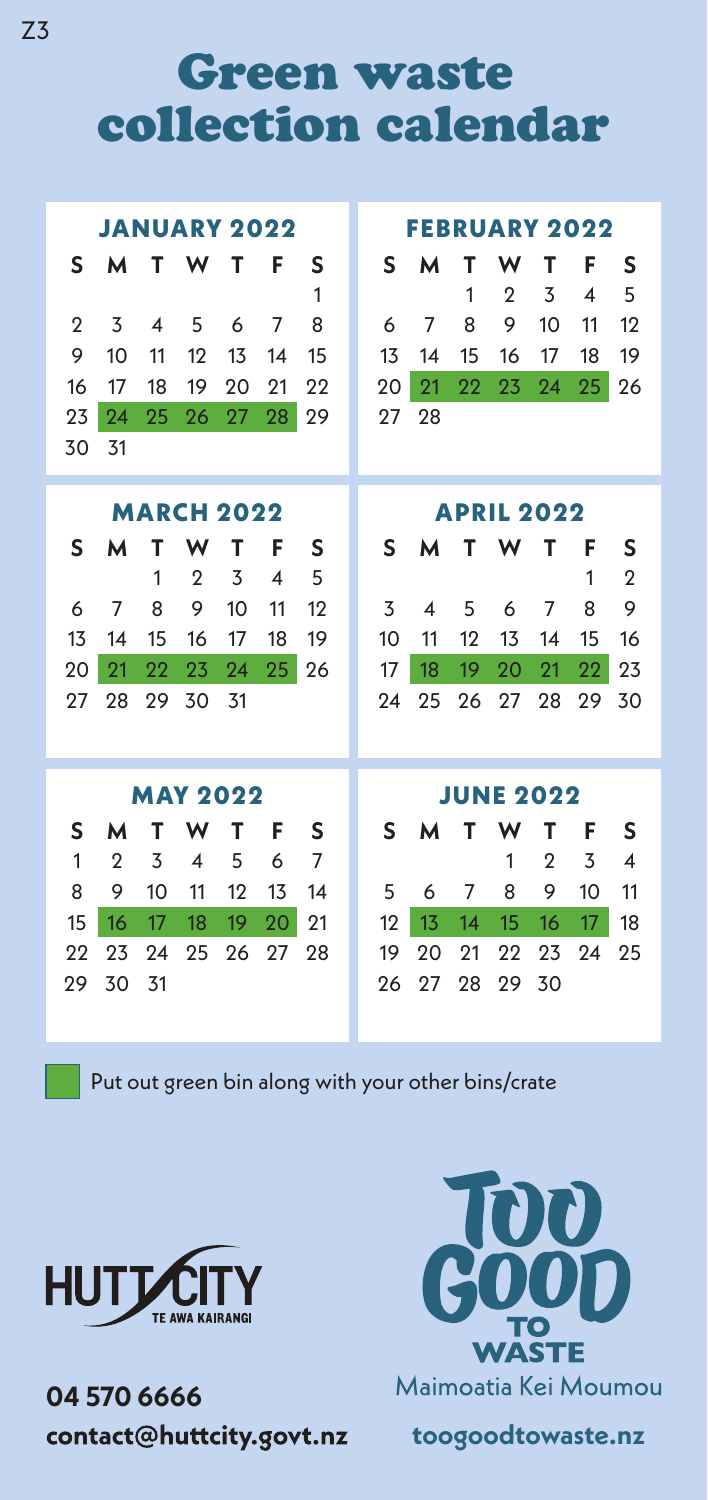Green waste collection calendar

| <b>JANUARY 2022</b> |                            |    |                          |                   |    |                |  |                   | <b>FEBRUARY 2022</b> |                |                |                |    |                |  |  |
|---------------------|----------------------------|----|--------------------------|-------------------|----|----------------|--|-------------------|----------------------|----------------|----------------|----------------|----|----------------|--|--|
| S                   | м                          | т  | W                        | т                 | F  | S              |  | S                 | м                    | т              | w              | т              | F  | S              |  |  |
|                     |                            |    |                          |                   |    | 1              |  |                   |                      | 1              | $\overline{2}$ | 3              | 4  | 5              |  |  |
| 2                   | 3                          | 4  | 5                        | 6                 | 7  | 8              |  | 6                 | 7                    | 8              | 9              | 10             | 11 | 12             |  |  |
| 9                   | 10                         | 11 | 12                       | 13                | 14 | 15             |  | 13                | 14                   | 15             | 16             | 17             | 18 | 19             |  |  |
| 16                  | 17                         | 18 | 19                       | 20                | 21 | 22             |  | 20                | 21                   | 22             | 23             | 24             | 25 | 26             |  |  |
| 23                  | 24                         | 25 | 26                       | 27                | 28 | 29             |  | 27                | 28                   |                |                |                |    |                |  |  |
| 30                  | 31                         |    |                          |                   |    |                |  |                   |                      |                |                |                |    |                |  |  |
|                     |                            |    |                          |                   |    |                |  |                   |                      |                |                |                |    |                |  |  |
|                     |                            |    |                          | <b>MARCH 2022</b> |    |                |  | <b>APRIL 2022</b> |                      |                |                |                |    |                |  |  |
| S                   | м                          | т  | w                        | т                 | F  | S              |  | S                 | м                    | т              | w              | т              | F  | S              |  |  |
|                     |                            | 1  | $\overline{2}$           | 3                 | 4  | 5              |  |                   |                      |                |                |                | 1  | $\overline{2}$ |  |  |
| 6                   | 7                          | 8  | 9                        | 10                | 11 | 12             |  | 3                 | 4                    | 5              | 6              | 7              | 8  | 9              |  |  |
| 13                  | 14                         | 15 | 16                       | 17                | 18 | 19             |  | 10                | 11                   | 12             | 13             | 14             | 15 | 16             |  |  |
| 20                  | 21                         | 22 | 23                       | 24                | 25 | 26             |  | 17                | 18                   | 19             | 20             | 21             | 22 | 23             |  |  |
| 27                  | 28                         | 29 | 30                       | 31                |    |                |  | 24                | 25                   | 26             | 27             | 28             | 29 | 30             |  |  |
|                     |                            |    |                          |                   |    |                |  |                   |                      |                |                |                |    |                |  |  |
| <b>MAY 2022</b>     |                            |    |                          |                   |    |                |  | <b>JUNE 2022</b>  |                      |                |                |                |    |                |  |  |
| S                   | w<br>м<br>т<br>т<br>F<br>S |    |                          |                   |    |                |  |                   | м                    | т              | w              | т              | F  | S              |  |  |
| 1                   | $\overline{2}$             | 3  | $\overline{\mathcal{A}}$ | 5                 | 6  | $\overline{7}$ |  | S                 |                      |                | 1              | $\overline{2}$ | 3  | 4              |  |  |
| 8                   | 9                          | 10 | 11                       | 12                | 13 | 14             |  | 5                 | 6                    | $\overline{7}$ | 8              | 9              | 10 | 11             |  |  |
| 15                  | 16                         | 17 | 18                       | 19                | 20 | 21             |  | 12                | 13                   | 14             | 15             | 16             | 17 | 18             |  |  |
| 22                  | 23                         | 24 | 25                       | 26                | 27 | 28             |  | 19                | 20                   | 21             | 22             | 23             | 24 | 25             |  |  |
| 29                  | 30                         | 31 |                          |                   |    |                |  | 26                | 27                   | 28             | 29             | 30             |    |                |  |  |
|                     |                            |    |                          |                   |    |                |  |                   |                      |                |                |                |    |                |  |  |

Put out green bin along with your other bins/crate



**04 570 6666**  contact@huttcity.govt.nz



**toogoodtowaste.nz**